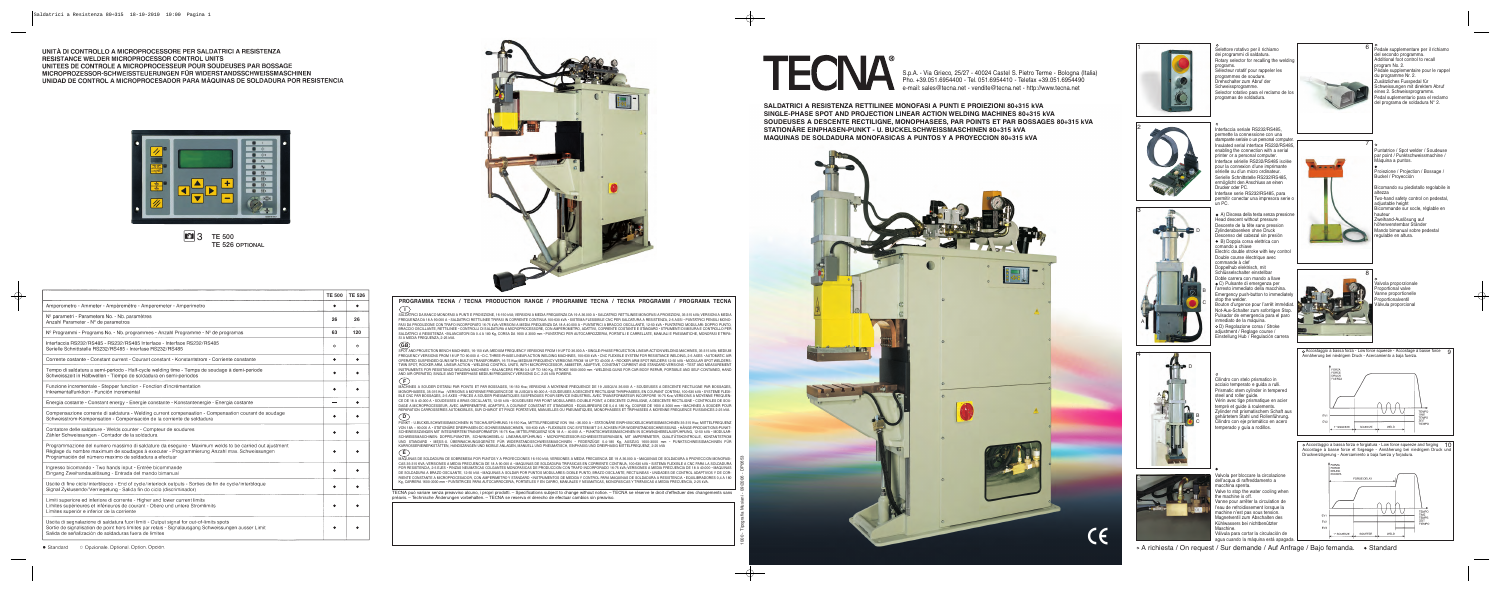**SALDATRICI A RESISTENZA RETTILINEE MONOFASI A PUNTI E PROIEZIONI 80÷315 kVA SINGLE-PHASE SPOT AND PROJECTION LINEAR ACTION WELDING MACHINES 80÷315 kVA SOUDEUSES A DESCENTE RECTILIGNE, MONOPHASEES, PAR POINTS ET PAR BOSSAGES 80÷315 kVA STATIONÄRE EINPHASEN-PUNKT - U. BUCKELSCHWEISSMASCHINEN 80÷315 kVA MAQUINAS DE SOLDADURA MONOFASICAS A PUNTOS Y A PROYECCION 80÷315 kVA**

1 Selettore rotativo per il richiamo del 1980 del 1980 del 1980 del 1980 del 1980 del 1980 del 1980 del 1980 del 1980 del 1980 del 1980 del 1980 del 1980 del 1980 del 1980 del 1980 del 1980 del 1980 del 1980 del 1980 del 1 dei programmi di saldatura. Rotary selector for recalling the welding programs. Sélecteur rotatif pour rappeler les programmes de soudure. Drehschalter zum Abruf der **Schweissprogramme** Selector rotativo para el reclamo de los programas de soldadura.



S.p.A. - Via Grieco, 25/27 - 40024 Castel S. Pietro Terme - Bologna (Italia) Pho. +39.051.6954400 - Tel. 051.6954410 - Telefax +39.051.6954490 e-mail: sales@tecna.net - vendite@tecna.net - http://www.tecna.net





A) Discesa della testa senza pressione Head descent without pressure Descente de la tête sans pression Zylinderabsenken ohne Druck Descenso del cabezal sin presión B) Doppia corsa elettrica con comando a chiave Electric double stroke with key control Double course électrique avec commande à clef Doppelhub elektrisch, mit Schlüsselschalter einstellbar Doble carrera con mando a llave C) Pulsante di emergenza per l'arresto immediato della macchina. Emergency push-button to immediate



alvola per bloccare la circolazione dell'acqua di raffreddamento a macchina spenta. Valve to stop the water cooling when the machine is off. Vanne pour arrêter la circulation de l'eau de refroidissement lorsque la machine n'est pas sous tension. Magnetventil zum Abschalten des Kühlwassers bei nichtbenützter Maschine. Válvula para cortar la circulación de agua cuando la máquina está apagada.



 $6 \mid$  Pedale supplementare per il richiamo del secondo programma. Additional foot control to recall program No. 2. Pédale supplementaire pour le rappel du programme Nr. 2. usätzliches Fusspedal für. Schweissungen mit direktem Abruf eines 2. Schweissprogramms. Pedal suplementario para el reclamo del programa de soldadura N° 2.



stop the welder. Bouton d'urgence pour l'arrêt immédiat. Not-Aus-Schalter zum sofortigen Stop. Pulsador de emergencia para el paro inmediato de la máquina.

D) Regolazione corsa / Stroke adjustment / Reglage course / Einstellung Hub / Regulación carrera

Cilindro con stelo prismatico in acciaio temperato e guida a rulli. Prismatic stem cylinder in tempered

Vérin avec tige prismatique en acier tempré et quide à roulements. Zylinder mit prismatischem Schaft aus gehärtetem Stahl und Rollenführung. Cilindro con eje prismático en acero temperado y guía a rodillos.

steel and roller guide

Puntatrice / Spot welder / Soudeuse par point / Punktschweissmachine /

Máquina a puntos.

Buckel / Proyección Bicomando su piedistallo regolabile in altezza

Proiezione / Projection / Bossage /

Two-hand safety control on pedestal, adjustable height

Bicommande sur socle, réglable en hauteur

Zweihand-Auslösung auf höhenverstembar Ständer Mando bimanual sobre pedestal

regulable en altura.

Valvola proporzionale Proportional valve Vanne proportionelle roportionalventil Válvula proporcional

Accostaggio a bassa forza - Low force squeeze - Accostage à basse force 9 Annäherung bei niedrigem Druck - Acercamiento a baja fuerza.

Accostaggio a bassa forza e forgiatura - Low force squeeze and forging 10 Accostage à basse force et forgeage - Annäherung bei niedrigem Druck und Druckverzögerung - Acercamiento a baja fuerza y forjadura.



 $\circ$  A richiesta / On request / Sur demande / Auf Anfrage / Bajo femanda.  $\bullet$  Standard





2

3

4

5



A

D B C





TECNA può variare senza preavviso alcuno, i propri prodotti. – Specifications subject to change without notice. – TECNA se réserve le droit d'effectuer des changements sans préavis. – Technische Änderungen vorbehalten. – TECNA se reserva el derecho de efectuar cambios sin preaviso.

UNITÀ DI CONTROLLO A MICROPROCESSORE PER SALDATRICI A RESISTENZA RESISTANCE WELDER MICROPROCESSOR CONTROL UNITS UNITEES DE CONTROLE A MICROPROCESSEUR POUR SOUDEUSES PAR BOSSAGE MICROPROZESSOR-SCHWEISSTEUERUNGEN FÜR WIDERSTANDSSCHWEISSMASCHINEN UNIDAD DE CONTROL A MICROPROCESADOR PARA MÁQUINAS DE SOLDADURA POR RESISTENCIA



# **10 3** TE 500 **TE 526 OPTIONAL**

|   | œ<br>O      |
|---|-------------|
| Ĩ | 0<br>0<br>¢ |
|   | œ           |
|   |             |
|   | œ           |
| A |             |

SALDATRICI DA BANCO MONOFASI A PUNTI E PROIEZIONE, 16-150 kVA; VERSIONI A MEDIA FREQUENZA DA 19 A 36.000 A • SALDATRICI RETTILINEE MONOFASI A PROIEZIONI, 35-315 kVA; VERSIONI A MEDIA FREQUENZA DA 18 A 90.000 A • SALDATRICI RETTILINEE TRIFASI IN CORRENTE CONTINUA 100-630 kVA • SISTEMA FLESSIBILE CNC PER SALDATURA A RESISTENZA, 2-5 ASSI • PUNTATRICI PENSILI MONO-FASI DA PRODUZIONE CON TRAFO INCORPORATO 16-75 kVA; VERSIONI A MEDIA FREQUENZA DA 18 A 40.000 A • PUNTATRICI A BRACCIO OSCILLANTE, 12-50 kVA • PUNTATRICI MODULARI: DOPPIO PUNTO, BRACCIO OSCILLANTE, RETTILINEE • CONTROLLI DI SALDATURA A MICROPROCESSORE, CON AMPEROMETRO, ADATTIVI, CORRENTE COSTANTE E STANDARD • STRUMENTI DI MISURA E CONTROLLO PER SALDATRICI A RESISTENZA · BILANCIATORI DA 0.4 A 180 Kg, CORSA DA 1600 A 3000 mm · PUNTATRICI PER AUTOCARROZZERIA, PORTATILI E CARRELLATE, MANUALI E PNEUMATICHE, MONOFASI E TRIFA-SI A MEDIA FREQUENZA, 2-25 kVA.

SPOT AND PROJECTION BENCH MACHINES, 16-150 kVA; MEDIUM FREQUENCY VERSIONS FROM 19 UP TO 36.000 A • SINGLE-PHASE PROJECTION LINEAR ACTION WELDING MACHINES, 35-315 kVA; MEDIUM FREQUENCY VERSIONS FROM 18 UP TO 90.000 A • D.C. THREE-PHASE LINEAR ACTION WELDING MACHINES, 100-630 kVA • CNC FLEXIBLE SYSTEM FOR RESISTANCE WELDING, 2-5 AXES • AUTOMATIC AIR OPERATED SUSPENDED GUNS WITH BUILT-IN TRANSFORMER, 16-75 Kva; MEDIUM FREQUENCY VERSIONS FROM 18 UP TO 40.000 A • ROCKER ARM SPOT WELDERS 12-50 kVA • MODULAR SPOT WELDERS: TWIN SPOT, ROCKER ARM, LINEAR ACTION • WELDING CONTROL UNITS, WITH MICROPROCESSOR, AMMETER, ADAPTIVE, CONSTANT CURRENT AND STANDARD VERSIONS • TEST AND MEASUREMENT INSTRUMENTS FOR RESISTANCE WELDING MACHINES • BALANCERS FROM 0.4 UP TO 180 Kg, STROKE 1600-3000 mm • WELDING GUNS FOR CAR BODY REPAIR, PORTABLE AND SELF-CONTAINED, HAND AND AIR OPERATED, SINGLE AND THREEPHASE MEDIUM FREQUENCY VERSIONS D.C. 2-25 kVA POWERS.

MACHINES A SOUDER D'ETABLI PAR POINTS ET PAR BOSSAGES, 16-150 Kva; VERSIONS A MOYENNE FREQUENCE DE 19 JUSQU'A 36.000 A • SOUDEUSES A DESCENTE RECTILIGNE PAR BOSSAGES, MONOPHASEES, 35-315 Kva ; VERSIONS A MOYENNE FREQUENCE DE 18 JUSQU'A 90.000 A • SOUDEUSES A DESCENTE RECTILIGNE THRIPHASEES, EN COURANT CONTINU, 100-630 kVA • SYSTEME FLEXI-BLE CNC PAR BOSSAGES, 2-5 AXES • PINCES A SOUDER PNEUMATIQUES SUSPENDUES POUR SERVICE INDUSTRIEL AVEC TRANSFORMATEUR INCORPORE 16-75 Kva; VERSIONS A MOYENNE FREQUEN-CE DE 18 A 40.000 A • SOUDEUSES A BRAS OSCILLANTS, 12-50 kVA • SOUDEUSES PAR POINT MODULAIRES: DOUBLE POINT, A DESCENTE CURVILIGNE, A DESCENTE RECTILIGNE • CONTROLES DE SOU-DAGE A MICROPROCESSEUR, AVEC AMPEREMETRE, ADAPTIFS, A COURANT CONSTANT ET STANDARDS · EQUILIBREURS DE 0,4 A 180 Kg, COURSE DE 1600 A 3000 mm · MACHINES A SOUDER POUR REPARATION CARROSSERIES AUTOMOBILES, SUR CHARIOT ET PINCE PORTATIVES, MANUELLES OU PNEUMATIQUES, MONOPHASEES ET TRIPHASEES A MOYENNE FREQUENCE PUISSANCES 2-25 kVA. **D**

PUNKT - U.BUCKELSCHWEISSMASCHINEN IN TISCHAUSFÜHRUNG 16-150 Kva, MITTELFREQUENZ VON 19A –36.000 A • STATIONÄRE EINPH.BUCKELSCHWEISSMASCHINEN 35-315 Kva; MIITTELFREQUENZ VON 18A – 90.000 A • STATIONÄRE DREIPHASEN-DC-SCHWEISSMASCHINEN, 100-630 kVA • FLEXIBLES CNC-SYSTEM MIT 2-5 ACHSEN FÜR WIDERSTANDSSCHWEISSUNG • HÄNGE-PRODUKTIONS-PUNKT-SCHEWEISSZANGEN MIT INTEGRIERTEM TRANSFORMATOR 16-75 Kva; MITTELFREQUENZ VON 18 A – 40.000 A. • PUNKTSCHWEISSMASCHINEN IN SCHWINGHEBELAUSFÜHRUNG, 12-50 kVA • MODULAR-SCHWEISSMASCHINEN: DOPPELPUNKTER, SCHWINGHEBEL-U. LINEARAUSFÜHRUNG • MICROPROZESSOR-SCHWEISSTEUERUNGEN, MIT AMPEREMETER, QUALITÄTSKONTROLLE, KONTANTSTROM UND STANDARD • MESS-U. ÜBERWACHUNGSGERÄTE FÜR WIDERSTANDSSCHWEISSMASCHINEN • FEDERZÜGE 0.4-180 Kg, AUSZUG 1600-3000 mm • PUNKTSCHWEISSMACHINEN FÜR KARROSSERIEWERKSTÄTTEN, HANDSZANGEN UND MOBILE ANLAGEN, MANUELL UND PNEUMATISCH, EINPHASIG UND DREIPHASIG MITTELFREQUENZ, 2-25 kVA **E**

MAQUINAS DE SOLDADURA DE SOBREMESA POR PUNTOS Y A PROYECCIONES 16-150 kVA; VERSIONES A MEDIA FRECUENCIA DE 19 A 36.000 A • MAQUINAS DE SOLDADURA A PROYECCION MONOFASI-CAS 35-315 KVA; VERSIONES A MEDIA FRECUENCIA DE 18 A 90.000 A • MAQUINAS DE SOLDADURA TRIFASICAS EN CORRIENTE CONTINUA, 100-630 kVA • SISTEMA FLEXIBLE A CNC PARA LA SOLDADURA POR RESISTENCIA, 2-5 EJES • PINZAS NEUMATICAS COLGANTES MONOFASICAS DE PRODUCCION CON TRAFO INCORPORADO 16-75 kVA; VERSIONES A MEDIA FRECUENCIA DE 18 A 40.000 • MAQUINAS DE SOLDADURA A BRAZO OSCILANTE, 12-50 kVA • MAQUINAS A SOLDAR POR PUNTOS MODULARES: DOBLE PUNTO, BRAZO OSCILANTE, RECTILINEAS • UNIDADES DE CONTROL ADAPTIVOS Y DE COR-RIENTE CONSTANTE A MICROPROCESADOR, CON AMPERIMETRO Y STANDARD • INSTRUMENTOS DE MEDIDA Y CONTROL PARA MAQUINAS DE SOLDADURA A RESISTENCIA • EQUILIBRADORES 0,4 A 180 Kg, CARRERA 1600-3000 mm • PUNTATRICES PARA AUTOCARROCERIA, PORTATILES Y EN CARRO, MANUALES Y NEUMATICAS, MONOFASICAS Y TRIFASICAS A MEDIA FRECUENCIA, 2-25 kVA.

### **PROGRAMMA TECNA / TECNA PRODUCTION RANGE / PROGRAMME TECNA / TECNA PROGRAMM / PROGRAMA TECNA I**

#### **GB**

#### **F**

1000 - Tipografia Musiani - 09/2006 - DP0653



|                                                                                                                                                                                                                                                                 | <b>TE 500</b> | <b>TE 526</b> |
|-----------------------------------------------------------------------------------------------------------------------------------------------------------------------------------------------------------------------------------------------------------------|---------------|---------------|
| Amperometro - Ammeter - Ampèremètre - Amperemeter - Amperimetro                                                                                                                                                                                                 |               |               |
| Nº parametri - Parameters No. - Nb. paramètres<br>Anzahl Parameter - Nº de parametros                                                                                                                                                                           | 26            | 26            |
| Nº Programmi - Programs No. - Nb. programmes - Anzahl Programme - Nº de programas                                                                                                                                                                               | 63            | 120           |
| Interfaccia RS232/RS485 - RS232/RS485 Interface - Interface RS232/RS485<br>Serielle Schnittstelle RS232/RS485 - Interfase RS232/RS485                                                                                                                           | $\circ$       | $\circ$       |
| Corrente costante - Constant current - Courant constant - Konstantstrom - Corriente constante                                                                                                                                                                   |               |               |
| Tempo di saldatura a semi-periodo - Half-cycle welding time - Temps de soudage à demi-periode<br>Schweisszeit in Halbwellen - Tiempo de soldadura en semi-periodos                                                                                              |               |               |
| Funzione incrementale - Stepper function - Fonction d'incrémentation<br>Inkrementalfunktion - Función incremental                                                                                                                                               |               |               |
| Energia costante - Constant energy - Energie constante - Konstantenergie - Energia costante                                                                                                                                                                     |               |               |
| Compensazione corrente di saldatura - Welding current compensation - Compensation courant de soudage<br>Schweisstrom-Kompensation - Compensación de la corriente de soldadura                                                                                   |               |               |
| Contatore delle saldature - Welds counter - Compteur de soudures<br>Zähler Schweissungen - Contador de la soldadura                                                                                                                                             |               |               |
| Programmazione del numero massimo di saldature da eseguire - Maximum welds to be carried out ajustment<br>Réglage du nombre maximum de soudages à executer - Programmierung Anzahl max. Schweissungen<br>Programación del número maximo de soldadura a efectuar |               |               |
| Ingresso bicomando - Two hands input - Entrée bicommande<br>Eingang Zweihandauslösung - Entrada del mando bimanual                                                                                                                                              |               |               |
| Uscite di fine ciclo/interblocco - End of cycle/interlock outputs - Sorties de fin de cycle/interbloque<br>Signal Zyklusende/Verriegelung - Salida fin do ciclo (discriminador)                                                                                 |               |               |
| Limiti superiore ed inferiore di corrente - Higher and lower current limits<br>Limites supérieures et inférieures de courant - Obere und untere Stromlimits<br>Limites superiór e inferior de la corriente                                                      |               |               |
| Uscita di segnalazione di saldatura fuori limiti - Output signal for out-of-limits spots<br>Sortie de signalisation de point hors limites par relais - Signalausgang Schweissungen ausser Limit<br>Salida de señalización de soldaduras fuera de limites        |               |               |